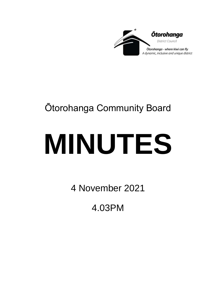

## Ōtorohanga Community Board

# **MINUTES**

4 November 2021

4.03PM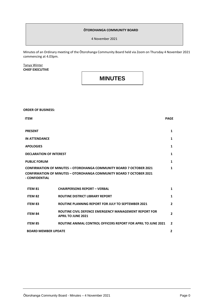#### **ŌTOROHANGA COMMUNITY BOARD**

4 November 2021

Minutes of an Ordinary meeting of the Ōtorohanga Community Board held via Zoom on Thursday 4 November 2021 commencing at 4.03pm.

#### Tanya Winter **CHIEF EXECUTIVE**

### **MINUTES**

| <b>ORDER OF BUSINESS:</b>      |                                                                                    |                |
|--------------------------------|------------------------------------------------------------------------------------|----------------|
| <b>ITEM</b>                    |                                                                                    | <b>PAGE</b>    |
| <b>PRESENT</b>                 |                                                                                    | 1              |
| <b>IN ATTENDANCE</b>           |                                                                                    | $\mathbf{1}$   |
| <b>APOLOGIES</b>               |                                                                                    | 1              |
| <b>DECLARATION OF INTEREST</b> |                                                                                    | $\mathbf{1}$   |
| <b>PUBLIC FORUM</b>            |                                                                                    | $\mathbf{1}$   |
|                                | <b>CONFIRMATION OF MINUTES - OTOROHANGA COMMUNITY BOARD 7 OCTOBER 2021</b>         | 1              |
| - CONFIDENTIAL                 | <b>CONFIRMATION OF MINUTES - OTOROHANGA COMMUNITY BOARD 7 OCTOBER 2021</b>         |                |
| <b>ITEM 81</b>                 | <b>CHAIRPERSONS REPORT - VERBAL</b>                                                | $\mathbf{1}$   |
| <b>ITEM 82</b>                 | <b>ROUTINE DISTRICT LIBRARY REPORT</b>                                             | $\mathbf{1}$   |
| <b>ITEM 83</b>                 | <b>ROUTINE PLANNING REPORT FOR JULY TO SEPTEMBER 2021</b>                          | $\overline{2}$ |
| <b>ITEM 84</b>                 | ROUTINE CIVIL DEFENCE EMERGENCY MANAGEMENT REPORT FOR<br><b>APRIL TO JUNE 2021</b> | $\overline{2}$ |
| ITEM 85                        | <b>ROUTINE ANIMAL CONTROL OFFICERS REPORT FOR APRIL TO JUNE 2021</b>               | $\overline{2}$ |
| <b>BOARD MEMBER UPDATE</b>     |                                                                                    | $\mathbf{2}$   |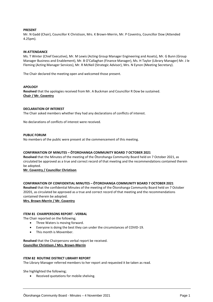#### **PRESENT**

Mr. N Gadd (Chair), Councillor K Christison, Mrs. K Brown-Merrin, Mr. P Coventry, Councillor Dow (Attended 4.25pm).

#### **IN ATTENDANCE**

Ms. T Winter (Chief Executive), Mr. M Lewis (Acting Group Manager Engineering and Assets), Mr. G Bunn (Group Manager Business and Enablement), Mr. B O'Callaghan (Finance Manager), Ms. H Taylor (Library Manager) Mr. J le Fleming (Acting Manager Services), Mr. R McNeil (Strategic Advisor), Mrs. N Eynon (Meeting Secretary).

The Chair declared the meeting open and welcomed those present.

#### **APOLOGY**

**Resolved** that the apologies received from Mr. A Buckman and Councillor R Dow be sustained. **Chair / Mr. Coventry**

#### **DECLARATION OF INTEREST**

The Chair asked members whether they had any declarations of conflicts of interest.

No declarations of conflicts of interest were received.

#### **PUBLIC FORUM**

No members of the public were present at the commencement of this meeting.

#### **CONFIRMATION OF MINUTES – ŌTOROHANGA COMMUNITY BOARD 7 OCTOBER 2021**

**Resolved** that the Minutes of the meeting of the Ōtorohanga Community Board held on 7 October 2021, as circulated be approved as a true and correct record of that meeting and the recommendations contained therein be adopted.

#### **Mr. Coventry / Councillor Christison**

#### **CONFIRMATION OF CONFIDENTIAL MINUTES – ŌTOROHANGA COMMUNITY BOARD 7 OCTOBER 2021**

**Resolved** that the confidential Minutes of the meeting of the Ōtorohanga Community Board held on 7 October 20201, as circulated be approved as a true and correct record of that meeting and the recommendations contained therein be adopted.

**Mrs. Brown-Merrin / Mr. Coventry**

#### **ITEM 81 CHAIRPERSONS REPORT - VERBAL**

The Chair reported on the following;

- Three Waters is moving forward.
- Everyone is doing the best they can under the circumstances of COVID-19.
- This month is Movember.

**Resolved** that the Chairpersons verbal report be received. **Councillor Christison / Mrs. Brown-Merrin**

#### **ITEM 82 ROUTINE DISTRICT LIBRARY REPORT**

The Library Manager referred members to her report and requested it be taken as read.

She highlighted the following;

• Received quotations for mobile shelving.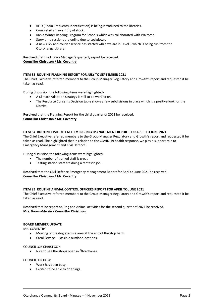- RFID (Radio Frequency Identification) is being introduced to the libraries.
- Completed an inventory of stock.
- Ran a Winter Reading Program for Schools which was collaborated with Waitomo.
- Story time sessions are online due to Lockdown.
- A new click and courier service has started while we are in Level 3 which is being run from the Ōtorohanga Library.

**Resolved** that the Library Manager's quarterly report be received. **Councillor Christison / Mr. Coventry**

#### **ITEM 83 ROUTINE PLANNING REPORT FOR JULY TO SEPTEMBER 2021**

The Chief Executive referred members to the Group Manager Regulatory and Growth's report and requested it be taken as read.

During discussion the following items were highlighted-

- A Climate Adaption Strategy is still to be worked on.
- The Resource Consents Decision table shows a few subdivisions in place which is a positive look for the District.

**Resolved** that the Planning Report for the third quarter of 2021 be received. **Councillor Christison / Mr. Coventry**

#### **ITEM 84 ROUTINE CIVIL DEFENCE EMERGENCY MANAGEMENT REPORT FOR APRIL TO JUNE 2021**

The Chief Executive referred members to the Group Manager Regulatory and Growth's report and requested it be taken as read. She highlighted that in relation to the COVID-19 health response, we play a support role to Emergency Management and Civil Defence.

During discussion the following items were highlighted-

- The number of trained staff is great.
- Testing station staff are doing a fantastic job.

**Resolved** that the Civil Defence Emergency Management Report for April to June 2021 be received. **Councillor Christison / Mr. Coventry**

#### **ITEM 85 ROUTINE ANIMAL CONTROL OFFICERS REPORT FOR APRIL TO JUNE 2021**

The Chief Executive referred members to the Group Manager Regulatory and Growth's report and requested it be taken as read.

**Resolved** that he report on Dog and Animal activities for the second quarter of 2021 be received. **Mrs. Brown-Merrin / Councillor Christison**

#### **BOARD MEMBER UPDATE**

MR. COVENTRY

- Mowing of the dog exercise area at the end of the stop bank.
- Carol Service Possible outdoor locations.

#### COUNCILLOR CHRISTISON

• Nice to see the shops open in Ōtorohanga.

#### COUNCILLOR DOW

- Work has been busy.
- Excited to be able to do things.